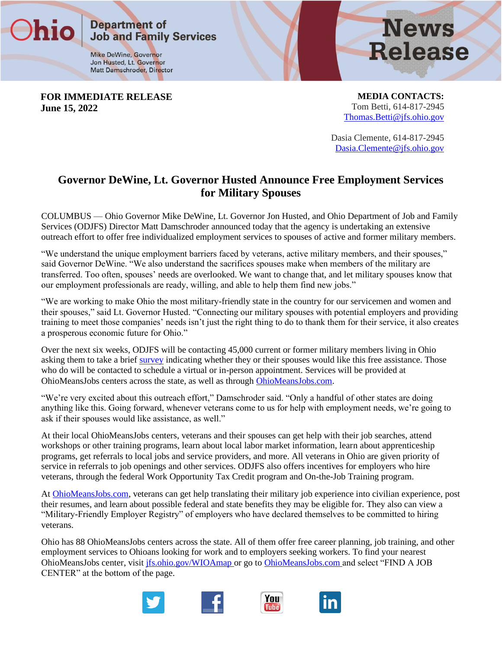**Job and Family Services** 

**Mike DeWine, Governor** Jon Husted, Lt. Governor Matt Damschroder, Director

**Department of** 

**FOR IMMEDIATE RELEASE June 15, 2022**

hio

**MEDIA CONTACTS:** Tom Betti, 614-817-2945 [Thomas.Betti@jfs.ohio.gov](mailto:Thomas.Betti@jfs.ohio.gov)

**News** 

**Release** 

Dasia Clemente, 614-817-2945 [Dasia.Clemente@jfs.ohio.gov](mailto:Dasia.Clemente@jfs.ohio.gov)

## **Governor DeWine, Lt. Governor Husted Announce Free Employment Services for Military Spouses**

COLUMBUS — Ohio Governor Mike DeWine, Lt. Governor Jon Husted, and Ohio Department of Job and Family Services (ODJFS) Director Matt Damschroder announced today that the agency is undertaking an extensive outreach effort to offer free individualized employment services to spouses of active and former military members.

"We understand the unique employment barriers faced by veterans, active military members, and their spouses," said Governor DeWine. "We also understand the sacrifices spouses make when members of the military are transferred. Too often, spouses' needs are overlooked. We want to change that, and let military spouses know that our employment professionals are ready, willing, and able to help them find new jobs."

"We are working to make Ohio the most military-friendly state in the country for our servicemen and women and their spouses," said Lt. Governor Husted. "Connecting our military spouses with potential employers and providing training to meet those companies' needs isn't just the right thing to do to thank them for their service, it also creates a prosperous economic future for Ohio."

Over the next six weeks, ODJFS will be contacting 45,000 current or former military members living in Ohio asking them to take a brief [survey](https://gcc02.safelinks.protection.outlook.com/?url=https%3A%2F%2Fforms.office.com%2Fpages%2Fresponsepage.aspx%3Fid%3DxPz4UNiUB0-E6zbtV8fIovtfaKiopzBJoOerEPA5KqNUOUgzQlVHQVk3RUhYQkY5UDZLNDVQTDZKVy4u%26web%3D1%26wdLOR%3Dc16D74A49-33A3-4726-A028-0A8086627D50&data=05%7C01%7CAngela.Terez%40jfs.ohio.gov%7C55d8d53e73a24160457008da4ed8943e%7C50f8fcc494d84f0784eb36ed57c7c8a2%7C0%7C0%7C637908989346264211%7CUnknown%7CTWFpbGZsb3d8eyJWIjoiMC4wLjAwMDAiLCJQIjoiV2luMzIiLCJBTiI6Ik1haWwiLCJXVCI6Mn0%3D%7C3000%7C%7C%7C&sdata=qC9PtXOqLBOjyMBbaoYgUb5gxwNnqwnTuagcSkh9V08%3D&reserved=0) indicating whether they or their spouses would like this free assistance. Those who do will be contacted to schedule a virtual or in-person appointment. Services will be provided at OhioMeansJobs centers across the state, as well as through [OhioMeansJobs.com.](https://gcc02.safelinks.protection.outlook.com/?url=https%3A%2F%2Fohiomeansjobs.ohio.gov%2Fjob-seekers%2Fbuild-your-career%2Ffor-veterans&data=05%7C01%7CAngela.Terez%40jfs.ohio.gov%7C55d8d53e73a24160457008da4ed8943e%7C50f8fcc494d84f0784eb36ed57c7c8a2%7C0%7C0%7C637908989346264211%7CUnknown%7CTWFpbGZsb3d8eyJWIjoiMC4wLjAwMDAiLCJQIjoiV2luMzIiLCJBTiI6Ik1haWwiLCJXVCI6Mn0%3D%7C3000%7C%7C%7C&sdata=VPCBRGluxcRhHsriRTXaKJOoSkjrNxQE2d4DQRgQ%2BmQ%3D&reserved=0)

"We're very excited about this outreach effort," Damschroder said. "Only a handful of other states are doing anything like this. Going forward, whenever veterans come to us for help with employment needs, we're going to ask if their spouses would like assistance, as well."

At their local OhioMeansJobs centers, veterans and their spouses can get help with their job searches, attend workshops or other training programs, learn about local labor market information, learn about apprenticeship programs, get referrals to local jobs and service providers, and more. All veterans in Ohio are given priority of service in referrals to job openings and other services. ODJFS also offers incentives for employers who hire veterans, through the federal Work Opportunity Tax Credit program and On-the-Job Training program.

At [OhioMeansJobs.com,](https://gcc02.safelinks.protection.outlook.com/?url=https%3A%2F%2Fohiomeansjobs.ohio.gov%2Fjob-seekers%2Fbuild-your-career%2Ffor-veterans&data=05%7C01%7CAngela.Terez%40jfs.ohio.gov%7C55d8d53e73a24160457008da4ed8943e%7C50f8fcc494d84f0784eb36ed57c7c8a2%7C0%7C0%7C637908989346264211%7CUnknown%7CTWFpbGZsb3d8eyJWIjoiMC4wLjAwMDAiLCJQIjoiV2luMzIiLCJBTiI6Ik1haWwiLCJXVCI6Mn0%3D%7C3000%7C%7C%7C&sdata=VPCBRGluxcRhHsriRTXaKJOoSkjrNxQE2d4DQRgQ%2BmQ%3D&reserved=0) veterans can get help translating their military job experience into civilian experience, post their resumes, and learn about possible federal and state benefits they may be eligible for. They also can view a "Military-Friendly Employer Registry" of employers who have declared themselves to be committed to hiring veterans.

Ohio has 88 OhioMeansJobs centers across the state. All of them offer free career planning, job training, and other employment services to Ohioans looking for work and to employers seeking workers. To find your nearest OhioMeansJobs center, visit [jfs.ohio.gov/WIOAmap o](https://gcc02.safelinks.protection.outlook.com/?url=https%3A%2F%2Fjfs.ohio.gov%2FWIOAmap%2F&data=05%7C01%7CAngela.Terez%40jfs.ohio.gov%7C55d8d53e73a24160457008da4ed8943e%7C50f8fcc494d84f0784eb36ed57c7c8a2%7C0%7C0%7C637908989346264211%7CUnknown%7CTWFpbGZsb3d8eyJWIjoiMC4wLjAwMDAiLCJQIjoiV2luMzIiLCJBTiI6Ik1haWwiLCJXVCI6Mn0%3D%7C3000%7C%7C%7C&sdata=aiQx8UieiB8s0udsVC971lZuLFxzQB90gcsRLiOQRIE%3D&reserved=0)r go to [OhioMeansJobs.com a](https://gcc02.safelinks.protection.outlook.com/?url=https%3A%2F%2Fohiomeansjobs.ohio.gov%2Fwps%2Fportal%2Fgov%2Fomj%2F&data=05%7C01%7CAngela.Terez%40jfs.ohio.gov%7C55d8d53e73a24160457008da4ed8943e%7C50f8fcc494d84f0784eb36ed57c7c8a2%7C0%7C0%7C637908989346264211%7CUnknown%7CTWFpbGZsb3d8eyJWIjoiMC4wLjAwMDAiLCJQIjoiV2luMzIiLCJBTiI6Ik1haWwiLCJXVCI6Mn0%3D%7C3000%7C%7C%7C&sdata=m%2FrScab87SK1Sg9PHKXRB%2FgQ%2FUXz%2FAZZhL6zm26tLLo%3D&reserved=0)nd select "FIND A JOB CENTER" at the bottom of the page.